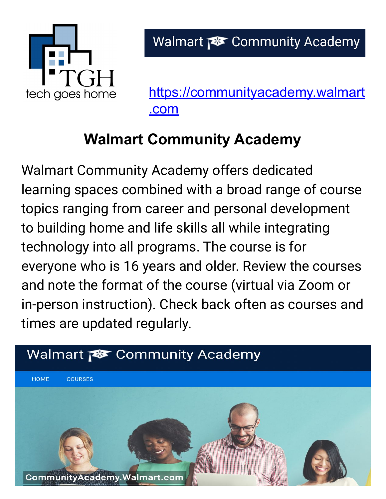

[https://communityacademy.walmart](https://communityacademy.walmart.com) [.com](https://communityacademy.walmart.com)

## **Walmart Community Academy**

Walmart Community Academy offers dedicated learning spaces combined with a broad range of course topics ranging from career and personal development to building home and life skills all while integrating technology into all programs. The course is for everyone who is 16 years and older. Review the courses and note the format of the course (virtual via Zoom or in-person instruction). Check back often as courses and times are updated regularly.

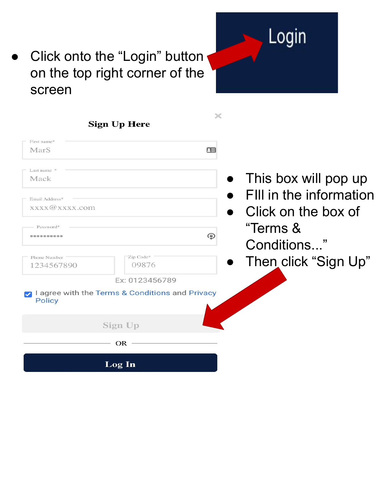

## Click onto the "Login" button on the top right corner of the screen

| <b>Sign Up Here</b>                                                            |                                                                   |                                                                                    |
|--------------------------------------------------------------------------------|-------------------------------------------------------------------|------------------------------------------------------------------------------------|
| First name*<br>MarS                                                            |                                                                   | æ                                                                                  |
| Last name <sup>*</sup><br>Mack<br>Email Address*<br>xxxx@xxxx.com<br>Password* |                                                                   | This box will pop up<br>FIII in the information<br>Click on the box of<br>"Terms & |
| <br>Phone Number<br>1234567890                                                 | Zip Code*<br>09876                                                | ⊕<br>Conditions"<br>Then click "Sign Up"                                           |
| <b>Policy</b>                                                                  | Ex: 0123456789<br>I agree with the Terms & Conditions and Privacy |                                                                                    |
|                                                                                | Sign Up                                                           |                                                                                    |
|                                                                                | <b>OR</b>                                                         |                                                                                    |
|                                                                                | Log In                                                            |                                                                                    |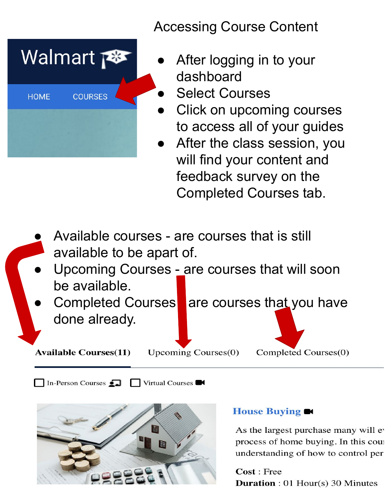Accessing Course Content



- After logging in to your dashboard
- **Select Courses**
- **Click on upcoming courses** to access all of your guides
- After the class session, you will find your content and feedback survey on the Completed Courses tab.
- Available courses are courses that is still available to be apart of.
- Upcoming Courses are courses that will soon be available.
- Completed Courses are courses that you have done already.

**Available Courses(11)** 

**Upcoming Courses(0)** 

Completed Courses(0)

In-Person Courses  $\Box$  Virtual Courses



## House Buying  $\blacksquare$

As the largest purchase many will ev process of home buying. In this cour understanding of how to control per

Cost: Free **Duration**:  $01$  Hour(s) 30 Minutes